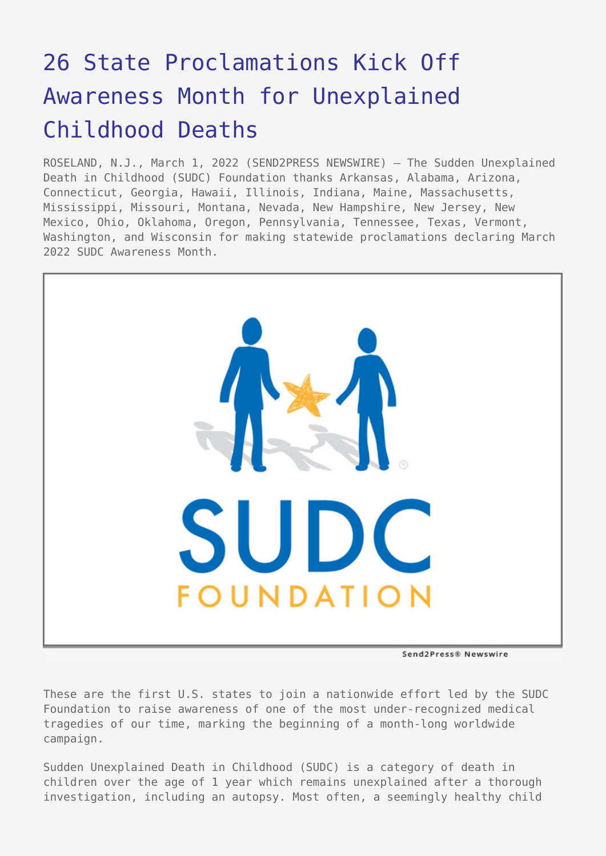## [26 State Proclamations Kick Off](https://www.send2press.com/wire/26-state-proclamations-kick-off-awareness-month-for-unexplained-childhood-deaths/) [Awareness Month for Unexplained](https://www.send2press.com/wire/26-state-proclamations-kick-off-awareness-month-for-unexplained-childhood-deaths/) [Childhood Deaths](https://www.send2press.com/wire/26-state-proclamations-kick-off-awareness-month-for-unexplained-childhood-deaths/)

ROSELAND, N.J., March 1, 2022 (SEND2PRESS NEWSWIRE) — The Sudden Unexplained Death in Childhood (SUDC) Foundation thanks Arkansas, Alabama, Arizona, Connecticut, Georgia, Hawaii, Illinois, Indiana, Maine, Massachusetts, Mississippi, Missouri, Montana, Nevada, New Hampshire, New Jersey, New Mexico, Ohio, Oklahoma, Oregon, Pennsylvania, Tennessee, Texas, Vermont, Washington, and Wisconsin for making statewide proclamations declaring March 2022 SUDC Awareness Month.



Send2Press® Newswire

These are the first U.S. states to join a nationwide effort led by the SUDC Foundation to raise awareness of one of the most under-recognized medical tragedies of our time, marking the beginning of a month-long worldwide campaign.

Sudden Unexplained Death in Childhood (SUDC) is a category of death in children over the age of 1 year which remains unexplained after a thorough investigation, including an autopsy. Most often, a seemingly healthy child